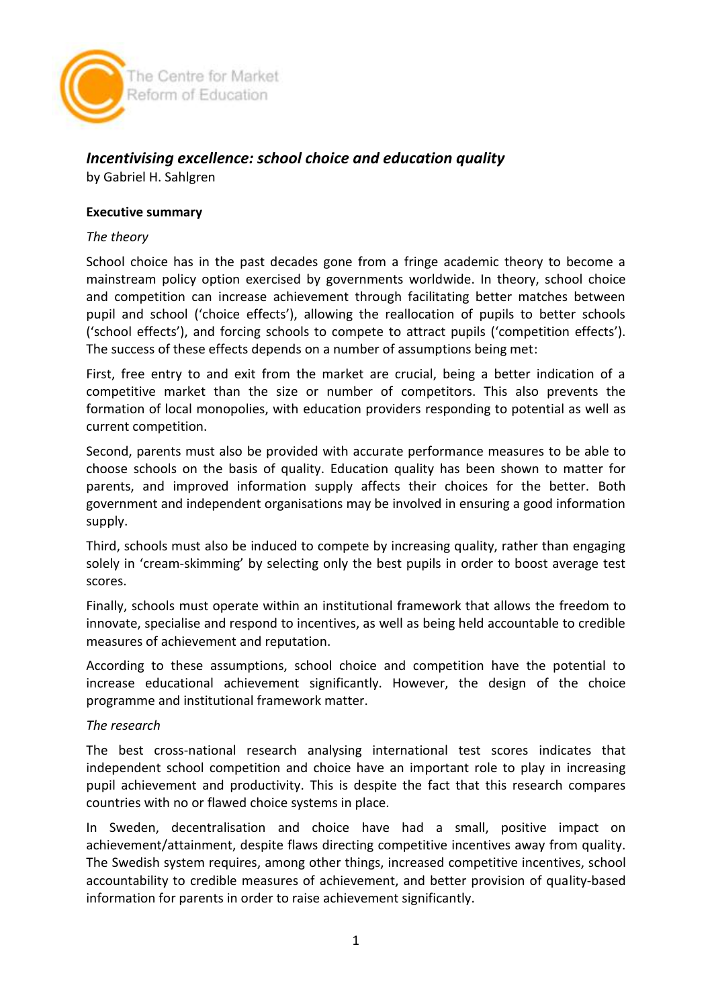

# *Incentivising excellence: school choice and education quality*

by Gabriel H. Sahlgren

## **Executive summary**

### *The theory*

School choice has in the past decades gone from a fringe academic theory to become a mainstream policy option exercised by governments worldwide. In theory, school choice and competition can increase achievement through facilitating better matches between pupil and school ('choice effects'), allowing the reallocation of pupils to better schools ('school effects'), and forcing schools to compete to attract pupils ('competition effects'). The success of these effects depends on a number of assumptions being met:

First, free entry to and exit from the market are crucial, being a better indication of a competitive market than the size or number of competitors. This also prevents the formation of local monopolies, with education providers responding to potential as well as current competition.

Second, parents must also be provided with accurate performance measures to be able to choose schools on the basis of quality. Education quality has been shown to matter for parents, and improved information supply affects their choices for the better. Both government and independent organisations may be involved in ensuring a good information supply.

Third, schools must also be induced to compete by increasing quality, rather than engaging solely in 'cream-skimming' by selecting only the best pupils in order to boost average test scores.

Finally, schools must operate within an institutional framework that allows the freedom to innovate, specialise and respond to incentives, as well as being held accountable to credible measures of achievement and reputation.

According to these assumptions, school choice and competition have the potential to increase educational achievement significantly. However, the design of the choice programme and institutional framework matter.

#### *The research*

The best cross-national research analysing international test scores indicates that independent school competition and choice have an important role to play in increasing pupil achievement and productivity. This is despite the fact that this research compares countries with no or flawed choice systems in place.

In Sweden, decentralisation and choice have had a small, positive impact on achievement/attainment, despite flaws directing competitive incentives away from quality. The Swedish system requires, among other things, increased competitive incentives, school accountability to credible measures of achievement, and better provision of quality-based information for parents in order to raise achievement significantly.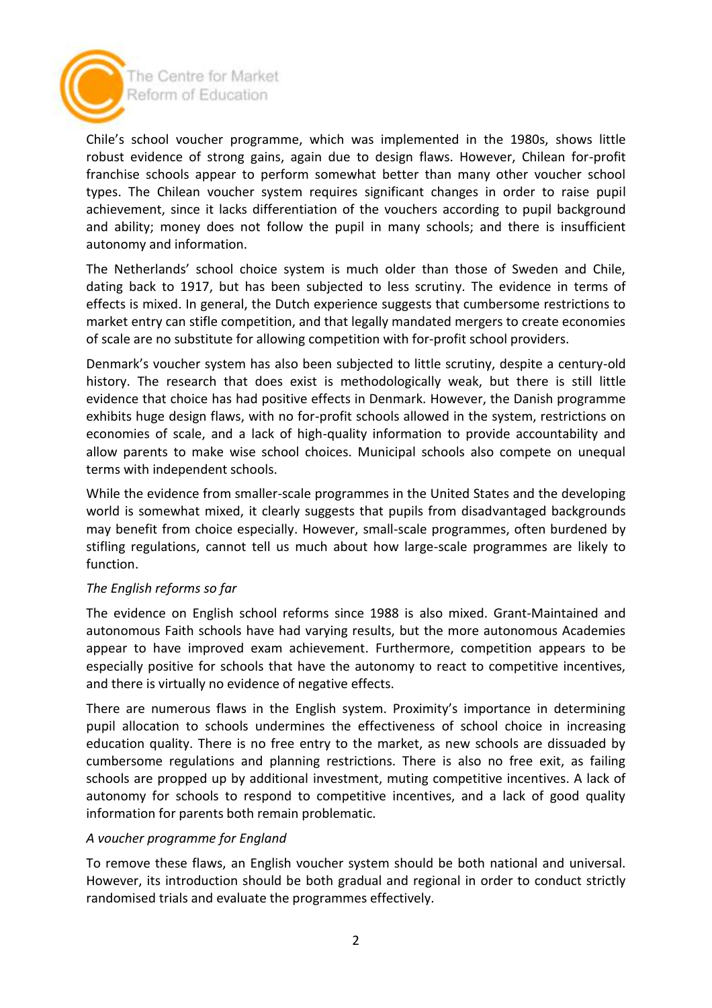

The Centre for Market Reform of Education

Chile's school voucher programme, which was implemented in the 1980s, shows little robust evidence of strong gains, again due to design flaws. However, Chilean for-profit franchise schools appear to perform somewhat better than many other voucher school types. The Chilean voucher system requires significant changes in order to raise pupil achievement, since it lacks differentiation of the vouchers according to pupil background and ability; money does not follow the pupil in many schools; and there is insufficient autonomy and information.

The Netherlands' school choice system is much older than those of Sweden and Chile, dating back to 1917, but has been subjected to less scrutiny. The evidence in terms of effects is mixed. In general, the Dutch experience suggests that cumbersome restrictions to market entry can stifle competition, and that legally mandated mergers to create economies of scale are no substitute for allowing competition with for-profit school providers.

Denmark's voucher system has also been subjected to little scrutiny, despite a century-old history. The research that does exist is methodologically weak, but there is still little evidence that choice has had positive effects in Denmark. However, the Danish programme exhibits huge design flaws, with no for-profit schools allowed in the system, restrictions on economies of scale, and a lack of high-quality information to provide accountability and allow parents to make wise school choices. Municipal schools also compete on unequal terms with independent schools.

While the evidence from smaller-scale programmes in the United States and the developing world is somewhat mixed, it clearly suggests that pupils from disadvantaged backgrounds may benefit from choice especially. However, small-scale programmes, often burdened by stifling regulations, cannot tell us much about how large-scale programmes are likely to function.

# *The English reforms so far*

The evidence on English school reforms since 1988 is also mixed. Grant-Maintained and autonomous Faith schools have had varying results, but the more autonomous Academies appear to have improved exam achievement. Furthermore, competition appears to be especially positive for schools that have the autonomy to react to competitive incentives, and there is virtually no evidence of negative effects.

There are numerous flaws in the English system. Proximity's importance in determining pupil allocation to schools undermines the effectiveness of school choice in increasing education quality. There is no free entry to the market, as new schools are dissuaded by cumbersome regulations and planning restrictions. There is also no free exit, as failing schools are propped up by additional investment, muting competitive incentives. A lack of autonomy for schools to respond to competitive incentives, and a lack of good quality information for parents both remain problematic.

#### *A voucher programme for England*

To remove these flaws, an English voucher system should be both national and universal. However, its introduction should be both gradual and regional in order to conduct strictly randomised trials and evaluate the programmes effectively.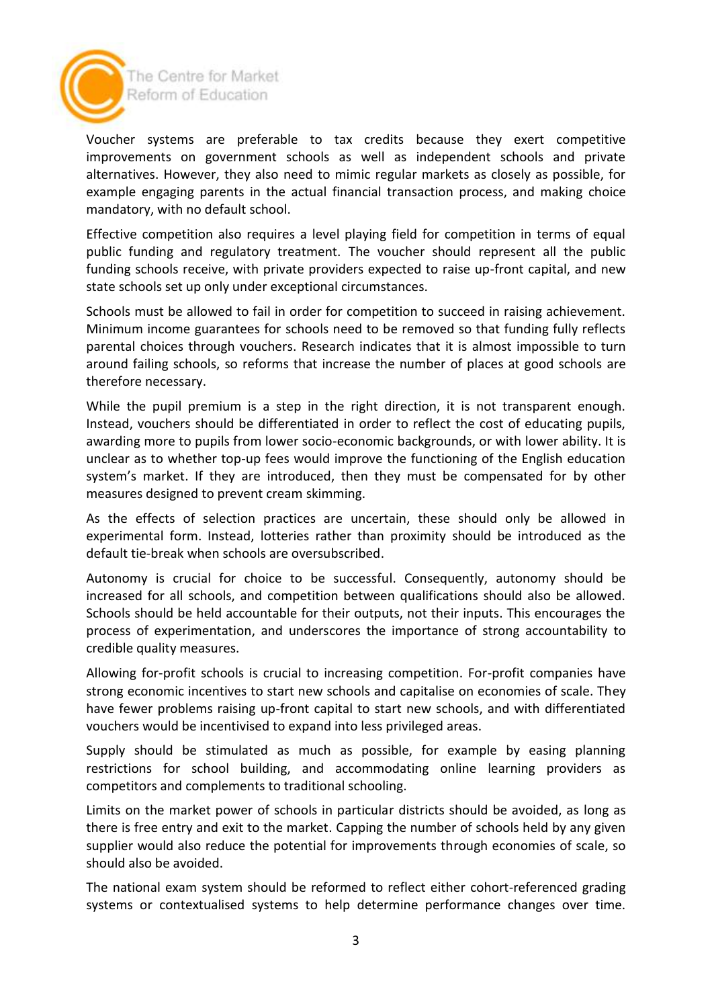

The Centre for Market Reform of Education

Voucher systems are preferable to tax credits because they exert competitive improvements on government schools as well as independent schools and private alternatives. However, they also need to mimic regular markets as closely as possible, for example engaging parents in the actual financial transaction process, and making choice mandatory, with no default school.

Effective competition also requires a level playing field for competition in terms of equal public funding and regulatory treatment. The voucher should represent all the public funding schools receive, with private providers expected to raise up-front capital, and new state schools set up only under exceptional circumstances.

Schools must be allowed to fail in order for competition to succeed in raising achievement. Minimum income guarantees for schools need to be removed so that funding fully reflects parental choices through vouchers. Research indicates that it is almost impossible to turn around failing schools, so reforms that increase the number of places at good schools are therefore necessary.

While the pupil premium is a step in the right direction, it is not transparent enough. Instead, vouchers should be differentiated in order to reflect the cost of educating pupils, awarding more to pupils from lower socio-economic backgrounds, or with lower ability. It is unclear as to whether top-up fees would improve the functioning of the English education system's market. If they are introduced, then they must be compensated for by other measures designed to prevent cream skimming.

As the effects of selection practices are uncertain, these should only be allowed in experimental form. Instead, lotteries rather than proximity should be introduced as the default tie-break when schools are oversubscribed.

Autonomy is crucial for choice to be successful. Consequently, autonomy should be increased for all schools, and competition between qualifications should also be allowed. Schools should be held accountable for their outputs, not their inputs. This encourages the process of experimentation, and underscores the importance of strong accountability to credible quality measures.

Allowing for-profit schools is crucial to increasing competition. For-profit companies have strong economic incentives to start new schools and capitalise on economies of scale. They have fewer problems raising up-front capital to start new schools, and with differentiated vouchers would be incentivised to expand into less privileged areas.

Supply should be stimulated as much as possible, for example by easing planning restrictions for school building, and accommodating online learning providers as competitors and complements to traditional schooling.

Limits on the market power of schools in particular districts should be avoided, as long as there is free entry and exit to the market. Capping the number of schools held by any given supplier would also reduce the potential for improvements through economies of scale, so should also be avoided.

The national exam system should be reformed to reflect either cohort-referenced grading systems or contextualised systems to help determine performance changes over time.